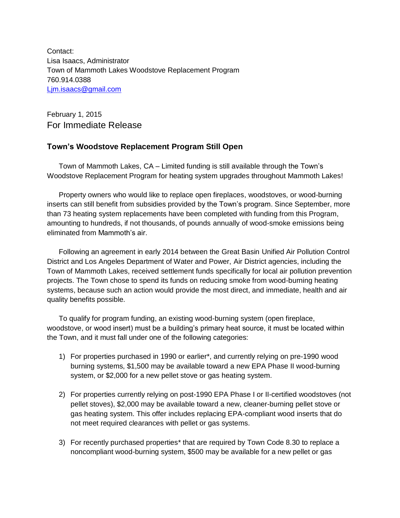Contact: Lisa Isaacs, Administrator Town of Mammoth Lakes Woodstove Replacement Program 760.914.0388 [Ljm.isaacs@gmail.com](mailto:Ljm.isaacs@gmail.com)

February 1, 2015 For Immediate Release

## **Town's Woodstove Replacement Program Still Open**

Town of Mammoth Lakes, CA – Limited funding is still available through the Town's Woodstove Replacement Program for heating system upgrades throughout Mammoth Lakes!

Property owners who would like to replace open fireplaces, woodstoves, or wood-burning inserts can still benefit from subsidies provided by the Town's program. Since September, more than 73 heating system replacements have been completed with funding from this Program, amounting to hundreds, if not thousands, of pounds annually of wood-smoke emissions being eliminated from Mammoth's air.

Following an agreement in early 2014 between the Great Basin Unified Air Pollution Control District and Los Angeles Department of Water and Power, Air District agencies, including the Town of Mammoth Lakes, received settlement funds specifically for local air pollution prevention projects. The Town chose to spend its funds on reducing smoke from wood-burning heating systems, because such an action would provide the most direct, and immediate, health and air quality benefits possible.

To qualify for program funding, an existing wood-burning system (open fireplace, woodstove, or wood insert) must be a building's primary heat source, it must be located within the Town, and it must fall under one of the following categories:

- 1) For properties purchased in 1990 or earlier\*, and currently relying on pre-1990 wood burning systems, \$1,500 may be available toward a new EPA Phase II wood-burning system, or \$2,000 for a new pellet stove or gas heating system.
- 2) For properties currently relying on post-1990 EPA Phase I or II-certified woodstoves (not pellet stoves), \$2,000 may be available toward a new, cleaner-burning pellet stove or gas heating system. This offer includes replacing EPA-compliant wood inserts that do not meet required clearances with pellet or gas systems.
- 3) For recently purchased properties\* that are required by Town Code 8.30 to replace a noncompliant wood-burning system, \$500 may be available for a new pellet or gas